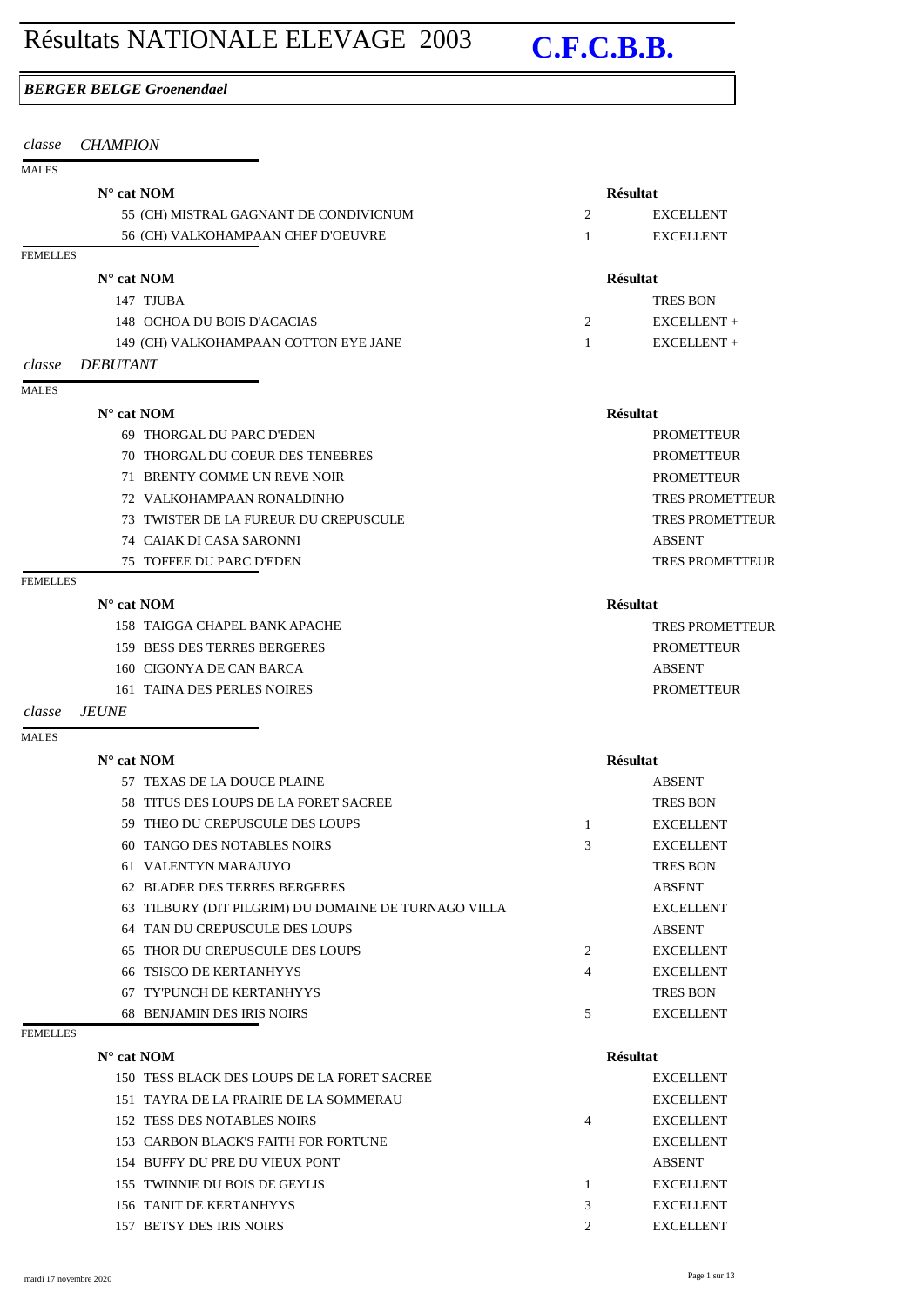# Résultats NATIONALE ELEVAGE 2003 **C.F.C.B.B.**

## *BERGER BELGE Groenendael*

| classe          | <b>CHAMPION</b>                                         |                |                        |
|-----------------|---------------------------------------------------------|----------------|------------------------|
| <b>MALES</b>    |                                                         |                |                        |
|                 | $N^{\circ}$ cat NOM                                     |                | <b>Résultat</b>        |
|                 | 55 (CH) MISTRAL GAGNANT DE CONDIVICNUM                  | $\overline{2}$ | <b>EXCELLENT</b>       |
|                 | 56 (CH) VALKOHAMPAAN CHEF D'OEUVRE                      | 1              | <b>EXCELLENT</b>       |
| <b>FEMELLES</b> |                                                         |                |                        |
|                 | $N^{\circ}$ cat NOM                                     |                | <b>Résultat</b>        |
|                 | 147 TJUBA                                               |                | <b>TRES BON</b>        |
|                 | 148 OCHOA DU BOIS D'ACACIAS                             | 2              | EXCELLENT +            |
|                 | 149 (CH) VALKOHAMPAAN COTTON EYE JANE                   | 1              | EXCELLENT +            |
| classe          | <b>DEBUTANT</b>                                         |                |                        |
| <b>MALES</b>    |                                                         |                |                        |
|                 | $N^{\circ}$ cat NOM                                     |                | <b>Résultat</b>        |
|                 | 69 THORGAL DU PARC D'EDEN                               |                | <b>PROMETTEUR</b>      |
|                 | THORGAL DU COEUR DES TENEBRES<br>70.                    |                | <b>PROMETTEUR</b>      |
|                 | BRENTY COMME UN REVE NOIR<br>71                         |                | <b>PROMETTEUR</b>      |
|                 | VALKOHAMPAAN RONALDINHO<br>72                           |                | <b>TRES PROMETTEUR</b> |
|                 | 73 TWISTER DE LA FUREUR DU CREPUSCULE                   |                | <b>TRES PROMETTEUR</b> |
|                 | 74 CAIAK DI CASA SARONNI                                |                | <b>ABSENT</b>          |
|                 | 75 TOFFEE DU PARC D'EDEN                                |                | <b>TRES PROMETTEUR</b> |
| <b>FEMELLES</b> |                                                         |                |                        |
|                 | $N^{\circ}$ cat NOM                                     |                | <b>Résultat</b>        |
|                 | 158 TAIGGA CHAPEL BANK APACHE                           |                | <b>TRES PROMETTEUR</b> |
|                 | 159 BESS DES TERRES BERGERES                            |                | <b>PROMETTEUR</b>      |
|                 | 160 CIGONYA DE CAN BARCA                                |                | <b>ABSENT</b>          |
|                 | 161 TAINA DES PERLES NOIRES                             |                | <b>PROMETTEUR</b>      |
| classe          | <b>JEUNE</b>                                            |                |                        |
| <b>MALES</b>    |                                                         |                |                        |
|                 | $N^{\circ}$ cat NOM                                     |                | <b>Résultat</b>        |
|                 | 57 TEXAS DE LA DOUCE PLAINE                             |                | <b>ABSENT</b>          |
|                 | 58 TITUS DES LOUPS DE LA FORET SACREE                   |                | <b>TRES BON</b>        |
|                 | 59 THEO DU CREPUSCULE DES LOUPS                         | 1              | <b>EXCELLENT</b>       |
|                 | TANGO DES NOTABLES NOIRS<br>60                          | 3              | <b>EXCELLENT</b>       |
|                 | 61 VALENTYN MARAJUYO                                    |                | <b>TRES BON</b>        |
|                 | 62 BLADER DES TERRES BERGERES                           |                | <b>ABSENT</b>          |
|                 | TILBURY (DIT PILGRIM) DU DOMAINE DE TURNAGO VILLA<br>63 |                | <b>EXCELLENT</b>       |
|                 | 64 TAN DU CREPUSCULE DES LOUPS                          |                | <b>ABSENT</b>          |

67 TY'PUNCH DE KERTANHYYS TRES BON 68 BENJAMIN DES IRIS NOIRS 5 EXCELLENT

65 THOR DU CREPUSCULE DES LOUPS 2 EXCELLENT 66 TSISCO DE KERTANHYYS 4 EXCELLENT

### FEMELLES

| 150 TESS BLACK DES LOUPS DE LA FORET SACREE |   | <b>EXCELLENT</b> |
|---------------------------------------------|---|------------------|
| 151 TAYRA DE LA PRAIRIE DE LA SOMMERAU      |   | <b>EXCELLENT</b> |
| 152 TESS DES NOTABLES NOIRS                 | 4 | <b>EXCELLENT</b> |
| 153 CARBON BLACK'S FAITH FOR FORTUNE        |   | <b>EXCELLENT</b> |
| 154 BUFFY DU PRE DU VIEUX PONT              |   | <b>ABSENT</b>    |
| 155 TWINNIE DU BOIS DE GEYLIS               |   | <b>EXCELLENT</b> |
| 156 TANIT DE KERTANHYYS                     | 3 | <b>EXCELLENT</b> |
| 157 BETSY DES IRIS NOIRS                    |   | <b>EXCELLENT</b> |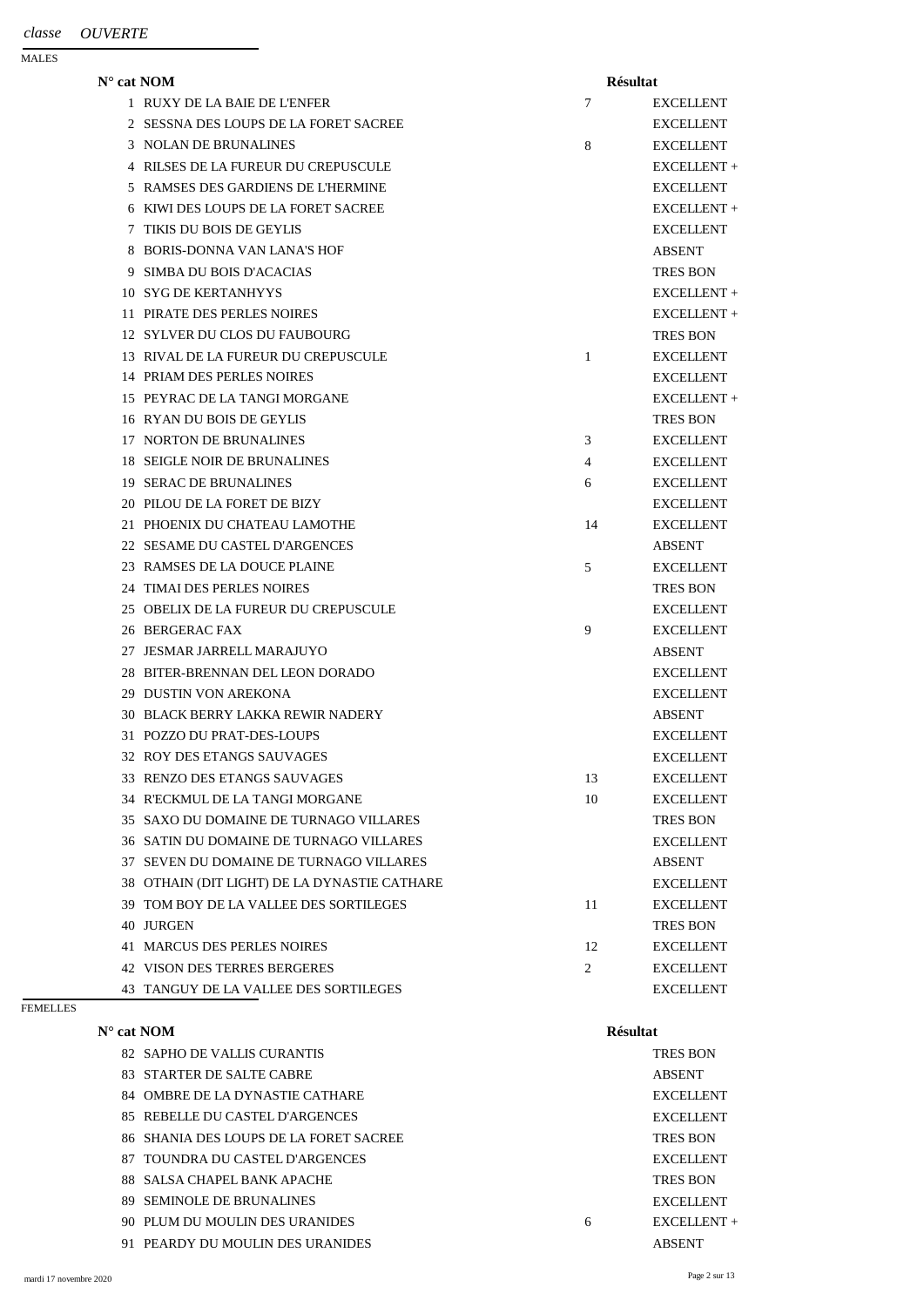| $\mathbf{N}^\circ$ cat $\mathbf{NOM}$ |                                              | <b>Résultat</b> |                  |
|---------------------------------------|----------------------------------------------|-----------------|------------------|
|                                       | 1 RUXY DE LA BAIE DE L'ENFER                 | 7               | <b>EXCELLENT</b> |
| 2                                     | <b>SESSNA DES LOUPS DE LA FORET SACREE</b>   |                 | <b>EXCELLENT</b> |
| 3                                     | <b>NOLAN DE BRUNALINES</b>                   | 8               | <b>EXCELLENT</b> |
|                                       | RILSES DE LA FUREUR DU CREPUSCULE            |                 | EXCELLENT +      |
| 5                                     | RAMSES DES GARDIENS DE L'HERMINE             |                 | <b>EXCELLENT</b> |
| 6                                     | KIWI DES LOUPS DE LA FORET SACREE            |                 | EXCELLENT +      |
|                                       | TIKIS DU BOIS DE GEYLIS                      |                 | <b>EXCELLENT</b> |
| 8                                     | <b>BORIS-DONNA VAN LANA'S HOF</b>            |                 | <b>ABSENT</b>    |
| 9                                     | <b>SIMBA DU BOIS D'ACACIAS</b>               |                 | <b>TRES BON</b>  |
| 10                                    | <b>SYG DE KERTANHYYS</b>                     |                 | EXCELLENT +      |
| 11                                    | PIRATE DES PERLES NOIRES                     |                 | EXCELLENT +      |
| 12                                    | <b>SYLVER DU CLOS DU FAUBOURG</b>            |                 | <b>TRES BON</b>  |
| 13                                    | RIVAL DE LA FUREUR DU CREPUSCULE             | 1               | <b>EXCELLENT</b> |
|                                       | 14 PRIAM DES PERLES NOIRES                   |                 | <b>EXCELLENT</b> |
|                                       | 15 PEYRAC DE LA TANGI MORGANE                |                 | EXCELLENT +      |
| 16.                                   | <b>RYAN DU BOIS DE GEYLIS</b>                |                 | <b>TRES BON</b>  |
| 17                                    | <b>NORTON DE BRUNALINES</b>                  | 3               | <b>EXCELLENT</b> |
| 18                                    | SEIGLE NOIR DE BRUNALINES                    | $\overline{4}$  | <b>EXCELLENT</b> |
| 19.                                   | <b>SERAC DE BRUNALINES</b>                   | 6               | <b>EXCELLENT</b> |
| 20                                    | PILOU DE LA FORET DE BIZY                    |                 | <b>EXCELLENT</b> |
| 21                                    | PHOENIX DU CHATEAU LAMOTHE                   | 14              | <b>EXCELLENT</b> |
|                                       | 22 SESAME DU CASTEL D'ARGENCES               |                 | <b>ABSENT</b>    |
|                                       | 23 RAMSES DE LA DOUCE PLAINE                 | 5               | <b>EXCELLENT</b> |
|                                       | 24 TIMAI DES PERLES NOIRES                   |                 | <b>TRES BON</b>  |
|                                       | 25 OBELIX DE LA FUREUR DU CREPUSCULE         |                 | <b>EXCELLENT</b> |
|                                       | 26 BERGERAC FAX                              | 9               | <b>EXCELLENT</b> |
| 27                                    | <b>JESMAR JARRELL MARAJUYO</b>               |                 | <b>ABSENT</b>    |
|                                       | 28 BITER-BRENNAN DEL LEON DORADO             |                 | <b>EXCELLENT</b> |
| 29.                                   | <b>DUSTIN VON AREKONA</b>                    |                 | <b>EXCELLENT</b> |
|                                       | <b>30 BLACK BERRY LAKKA REWIR NADERY</b>     |                 | <b>ABSENT</b>    |
|                                       | 31 POZZO DU PRAT-DES-LOUPS                   |                 | <b>EXCELLENT</b> |
|                                       | 32 ROY DES ETANGS SAUVAGES                   |                 | <b>EXCELLENT</b> |
|                                       | 33 RENZO DES ETANGS SAUVAGES                 | 13              | <b>EXCELLENT</b> |
|                                       | 34 R'ECKMUL DE LA TANGI MORGANE              | 10              | <b>EXCELLENT</b> |
| 35                                    | SAXO DU DOMAINE DE TURNAGO VILLARES          |                 | <b>TRES BON</b>  |
|                                       | 36 SATIN DU DOMAINE DE TURNAGO VILLARES      |                 | <b>EXCELLENT</b> |
| 37                                    | SEVEN DU DOMAINE DE TURNAGO VILLARES         |                 | <b>ABSENT</b>    |
|                                       | 38 OTHAIN (DIT LIGHT) DE LA DYNASTIE CATHARE |                 | <b>EXCELLENT</b> |
| 39                                    | TOM BOY DE LA VALLEE DES SORTILEGES          | 11              | <b>EXCELLENT</b> |
|                                       | 40 JURGEN                                    |                 | <b>TRES BON</b>  |
|                                       | <b>41 MARCUS DES PERLES NOIRES</b>           | 12              | <b>EXCELLENT</b> |
|                                       | <b>42 VISON DES TERRES BERGERES</b>          | 2               | <b>EXCELLENT</b> |
|                                       |                                              |                 |                  |

43 TANGUY DE LA VALLEE DES SORTILEGES EXCELLENT

## FEMELLES

| $N^{\circ}$ cat NOM                    |   | <b>Résultat</b>  |
|----------------------------------------|---|------------------|
| 82 SAPHO DE VALLIS CURANTIS            |   | <b>TRES BON</b>  |
| 83 STARTER DE SALTE CABRE              |   | <b>ABSENT</b>    |
| 84 OMBRE DE LA DYNASTIE CATHARE        |   | <b>EXCELLENT</b> |
| 85 REBELLE DU CASTEL D'ARGENCES        |   | <b>EXCELLENT</b> |
| 86 SHANIA DES LOUPS DE LA FORET SACREE |   | <b>TRES BON</b>  |
| 87 TOUNDRA DU CASTEL D'ARGENCES        |   | <b>EXCELLENT</b> |
| 88 SALSA CHAPEL BANK APACHE            |   | <b>TRES BON</b>  |
| 89 SEMINOLE DE BRUNALINES              |   | <b>EXCELLENT</b> |
| 90 PLUM DU MOULIN DES URANIDES         | 6 | $EXCELLENT +$    |
| 91 PEARDY DU MOULIN DES URANIDES       |   | <b>ABSENT</b>    |
|                                        |   |                  |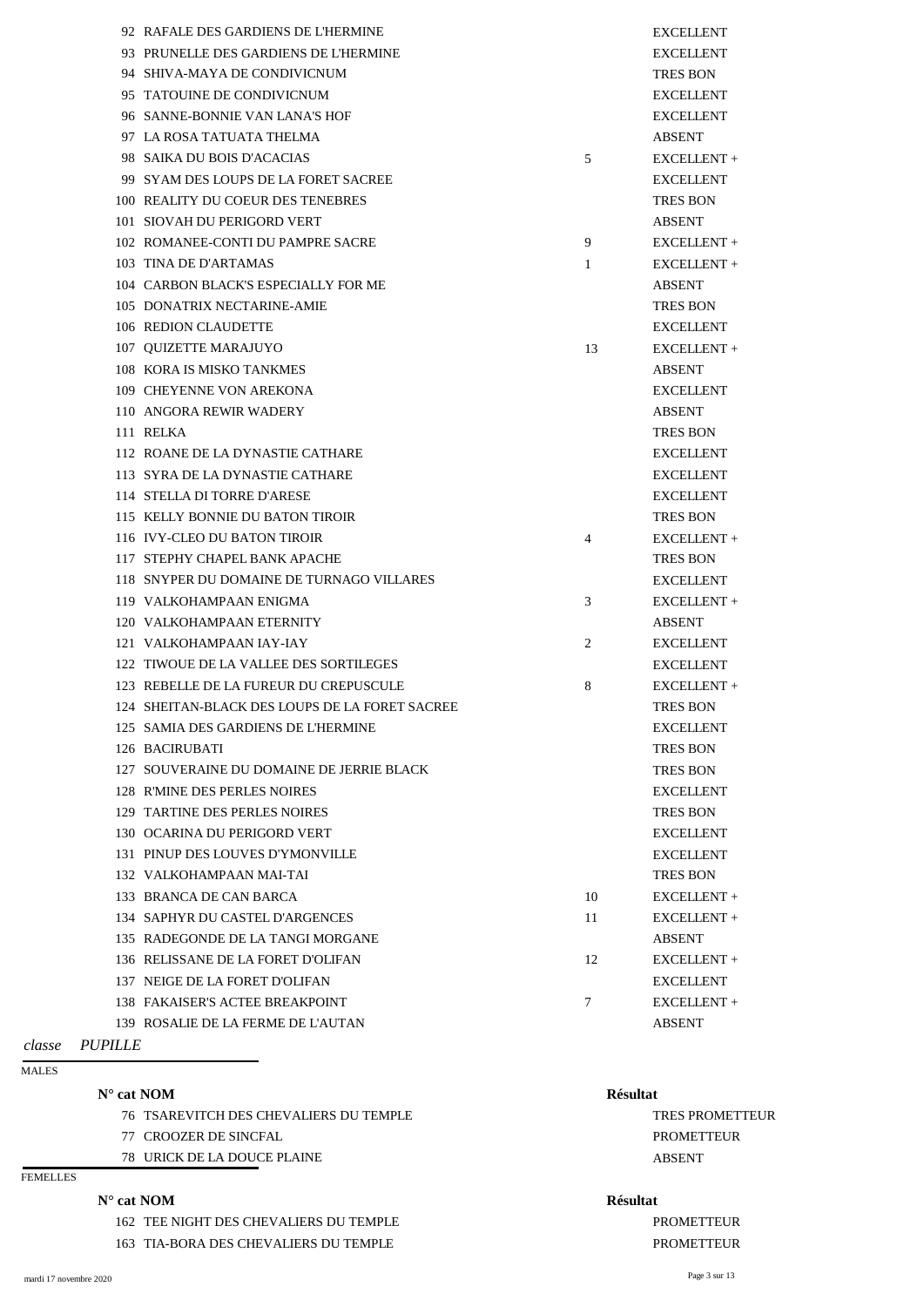|     | 92 RAFALE DES GARDIENS DE L'HERMINE            |                | <b>EXCELLENT</b> |
|-----|------------------------------------------------|----------------|------------------|
|     | 93 PRUNELLE DES GARDIENS DE L'HERMINE          |                | <b>EXCELLENT</b> |
|     | 94 SHIVA-MAYA DE CONDIVICNUM                   |                | <b>TRES BON</b>  |
| 95  | <b>TATOUINE DE CONDIVICNUM</b>                 |                | <b>EXCELLENT</b> |
|     | 96 SANNE-BONNIE VAN LANA'S HOF                 |                | <b>EXCELLENT</b> |
|     | 97 LA ROSA TATUATA THELMA                      |                | <b>ABSENT</b>    |
|     | 98 SAIKA DU BOIS D'ACACIAS                     | 5              | EXCELLENT +      |
|     | 99 SYAM DES LOUPS DE LA FORET SACREE           |                | <b>EXCELLENT</b> |
| 100 | REALITY DU COEUR DES TENEBRES                  |                | <b>TRES BON</b>  |
| 101 | SIOVAH DU PERIGORD VERT                        |                | <b>ABSENT</b>    |
|     | 102 ROMANEE-CONTI DU PAMPRE SACRE              | 9              | EXCELLENT +      |
|     | 103 TINA DE D'ARTAMAS                          | $\mathbf{1}$   | EXCELLENT +      |
|     | 104 CARBON BLACK'S ESPECIALLY FOR ME           |                | <b>ABSENT</b>    |
|     | 105 DONATRIX NECTARINE-AMIE                    |                | <b>TRES BON</b>  |
|     | 106 REDION CLAUDETTE                           |                | <b>EXCELLENT</b> |
|     | 107 OUIZETTE MARAJUYO                          | 13             | EXCELLENT +      |
|     | 108 KORA IS MISKO TANKMES                      |                | <b>ABSENT</b>    |
|     | 109 CHEYENNE VON AREKONA                       |                | <b>EXCELLENT</b> |
|     | 110 ANGORA REWIR WADERY                        |                | <b>ABSENT</b>    |
|     | 111 RELKA                                      |                | <b>TRES BON</b>  |
|     | 112 ROANE DE LA DYNASTIE CATHARE               |                | <b>EXCELLENT</b> |
|     | 113 SYRA DE LA DYNASTIE CATHARE                |                | <b>EXCELLENT</b> |
|     | 114 STELLA DI TORRE D'ARESE                    |                | <b>EXCELLENT</b> |
|     | 115 KELLY BONNIE DU BATON TIROIR               |                | <b>TRES BON</b>  |
|     | 116 IVY-CLEO DU BATON TIROIR                   | $\overline{4}$ | EXCELLENT +      |
|     | 117 STEPHY CHAPEL BANK APACHE                  |                | <b>TRES BON</b>  |
|     | 118 SNYPER DU DOMAINE DE TURNAGO VILLARES      |                | <b>EXCELLENT</b> |
|     | 119 VALKOHAMPAAN ENIGMA                        | 3              | EXCELLENT +      |
|     | 120 VALKOHAMPAAN ETERNITY                      |                | <b>ABSENT</b>    |
|     | 121 VALKOHAMPAAN IAY-IAY                       | $\overline{2}$ | <b>EXCELLENT</b> |
|     | 122 TIWOUE DE LA VALLEE DES SORTILEGES         |                | <b>EXCELLENT</b> |
|     | 123 REBELLE DE LA FUREUR DU CREPUSCULE         | 8              | EXCELLENT +      |
|     | 124 SHEITAN-BLACK DES LOUPS DE LA FORET SACREE |                | <b>TRES BON</b>  |
|     | 125 SAMIA DES GARDIENS DE L'HERMINE            |                | <b>EXCELLENT</b> |
|     | 126 BACIRUBATI                                 |                | <b>TRES BON</b>  |
|     | 127 SOUVERAINE DU DOMAINE DE JERRIE BLACK      |                | <b>TRES BON</b>  |
|     | 128 R'MINE DES PERLES NOIRES                   |                | <b>EXCELLENT</b> |
|     | <b>129 TARTINE DES PERLES NOIRES</b>           |                | <b>TRES BON</b>  |
|     | 130 OCARINA DU PERIGORD VERT                   |                | <b>EXCELLENT</b> |
|     | 131 PINUP DES LOUVES D'YMONVILLE               |                | <b>EXCELLENT</b> |
|     | 132 VALKOHAMPAAN MAI-TAI                       |                | <b>TRES BON</b>  |
|     | 133 BRANCA DE CAN BARCA                        | 10             | EXCELLENT +      |
|     | 134 SAPHYR DU CASTEL D'ARGENCES                | 11             | EXCELLENT +      |
|     | 135 RADEGONDE DE LA TANGI MORGANE              |                | <b>ABSENT</b>    |
|     | 136 RELISSANE DE LA FORET D'OLIFAN             | 12             | EXCELLENT +      |
|     | 137 NEIGE DE LA FORET D'OLIFAN                 |                | <b>EXCELLENT</b> |

## 138 FAKAISER'S ACTEE BREAKPOINT 7 EXCELLENT +

139 ROSALIE DE LA FERME DE L'AUTAN ABSENT

*classe PUPILLE*

MALES

## **N° cat NOM Résultat**

- 76 TSAREVITCH DES CHEVALIERS DU TEMPLE TRES PROMETTEUR
- 77 CROOZER DE SINCFAL PROMETTEUR
- 78 URICK DE LA DOUCE PLAINE ABSENT

## FEMELLES

## **N° cat NOM Résultat**

162 TEE NIGHT DES CHEVALIERS DU TEMPLE PROMETTEUR PROMETTEUR

163 TIA-BORA DES CHEVALIERS DU TEMPLE PROMETTEUR PROMETTEUR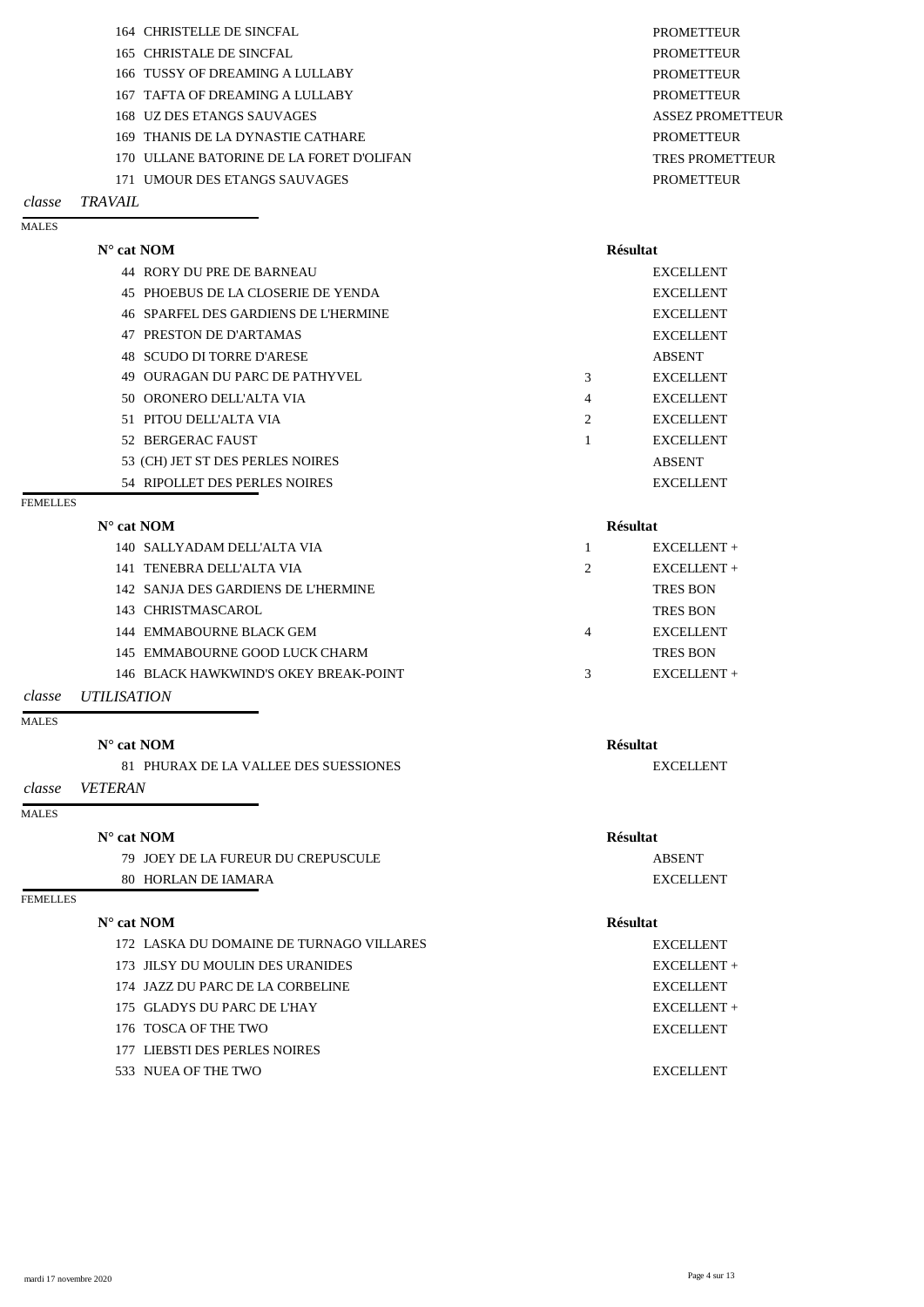|                 | 164 CHRISTELLE DE SINCFAL                | <b>PROMETTEUR</b>       |
|-----------------|------------------------------------------|-------------------------|
|                 | 165 CHRISTALE DE SINCFAL                 | <b>PROMETTEUR</b>       |
|                 | 166 TUSSY OF DREAMING A LULLABY          | <b>PROMETTEUR</b>       |
|                 | 167 TAFTA OF DREAMING A LULLABY          | <b>PROMETTEUR</b>       |
|                 | 168 UZ DES ETANGS SAUVAGES               | <b>ASSEZ PROMETTEUR</b> |
|                 | 169 THANIS DE LA DYNASTIE CATHARE        | <b>PROMETTEUR</b>       |
|                 | 170 ULLANE BATORINE DE LA FORET D'OLIFAN | <b>TRES PROMETTEUR</b>  |
|                 | 171 UMOUR DES ETANGS SAUVAGES            | <b>PROMETTEUR</b>       |
| $1$ T 7 $1$ T T |                                          |                         |

## *classe TRAVAIL*

MALES

| $N^{\circ}$ cat NOM |                                      |                | <b>Résultat</b>  |  |
|---------------------|--------------------------------------|----------------|------------------|--|
|                     | 44 RORY DU PRE DE BARNEAU            |                | <b>EXCELLENT</b> |  |
|                     | 45 PHOEBUS DE LA CLOSERIE DE YENDA   |                | <b>EXCELLENT</b> |  |
|                     | 46 SPARFEL DES GARDIENS DE L'HERMINE |                | <b>EXCELLENT</b> |  |
|                     | 47 PRESTON DE D'ARTAMAS              |                | <b>EXCELLENT</b> |  |
|                     | 48 SCUDO DI TORRE D'ARESE            |                | <b>ABSENT</b>    |  |
|                     | 49 OURAGAN DU PARC DE PATHYVEL       | 3              | <b>EXCELLENT</b> |  |
|                     | 50 ORONERO DELL'ALTA VIA             | 4              | <b>EXCELLENT</b> |  |
|                     | 51 PITOU DELL'ALTA VIA               | $\overline{2}$ | <b>EXCELLENT</b> |  |
|                     | 52 BERGERAC FAUST                    |                | <b>EXCELLENT</b> |  |
|                     | 53 (CH) JET ST DES PERLES NOIRES     |                | <b>ABSENT</b>    |  |
|                     | 54 RIPOLLET DES PERLES NOIRES        |                | <b>EXCELLENT</b> |  |

### FEMELLES

| $N^{\circ}$ cat NOM | <b>Résultat</b> |
|---------------------|-----------------|
|                     |                 |

|  | 140 SALLYADAM DELL'ALTA VIA           |   | $EXCELLENT +$    |
|--|---------------------------------------|---|------------------|
|  | 141 TENEBRA DELL'ALTA VIA             | 2 | $EXCELLENT +$    |
|  | 142 SANJA DES GARDIENS DE L'HERMINE   |   | <b>TRES BON</b>  |
|  | 143 CHRISTMASCAROL                    |   | <b>TRES BON</b>  |
|  | 144 EMMABOURNE BLACK GEM              | 4 | <b>EXCELLENT</b> |
|  | 145 EMMABOURNE GOOD LUCK CHARM        |   | <b>TRES BON</b>  |
|  | 146 BLACK HAWKWIND'S OKEY BREAK-POINT | 3 | $EXCELLENT +$    |
|  |                                       |   |                  |

*classe UTILISATION*

## MALES

## **N° cat NOM Résultat**

81 PHURAX DE LA VALLEE DES SUESSIONES EXCELLENT

*classe VETERAN*

### MALES

## **N° cat NOM Résultat**

79 JOEY DE LA FUREUR DU CREPUSCULE ABSENT 80 HORLAN DE IAMARA EXCELLENT

## FEMELLES

## **N° cat NOM Résultat**

172 LASKA DU DOMAINE DE TURNAGO VILLARES EXCELLENT

173 JILSY DU MOULIN DES URANIDES EXCELLENT +

174 JAZZ DU PARC DE LA CORBELINE EXCELLENT 175 GLADYS DU PARC DE L'HAY EXCELLENT + 176 TOSCA OF THE TWO EXCELLENT

177 LIEBSTI DES PERLES NOIRES

533 NUEA OF THE TWO EXCELLENT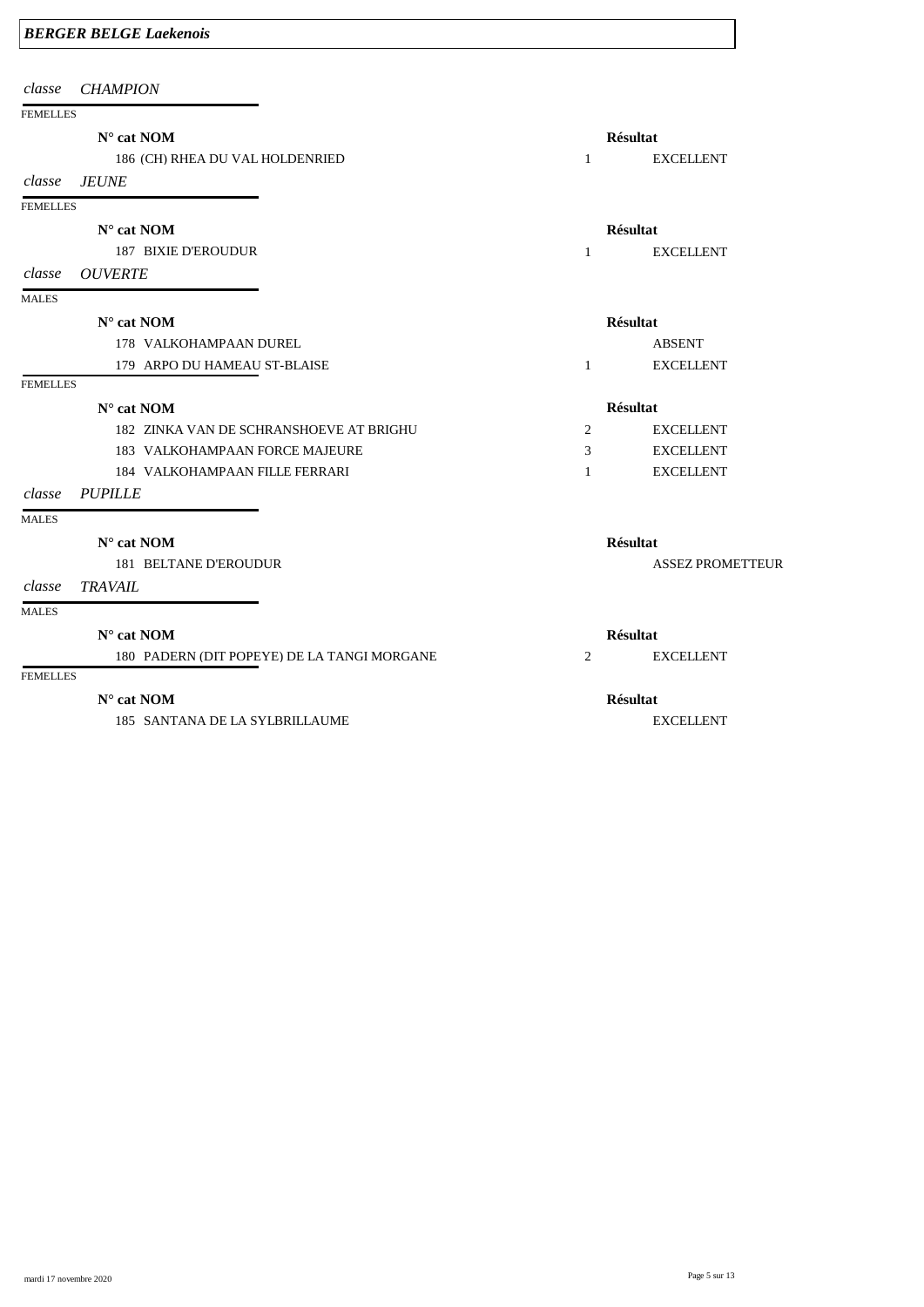|  |  | <b>BERGER BELGE Laekenois</b> |
|--|--|-------------------------------|
|--|--|-------------------------------|

| classe          | <b>CHAMPION</b>                             |                |                         |
|-----------------|---------------------------------------------|----------------|-------------------------|
| <b>FEMELLES</b> |                                             |                |                         |
|                 | $N^{\circ}$ cat NOM                         |                | <b>Résultat</b>         |
|                 | 186 (CH) RHEA DU VAL HOLDENRIED             | $\mathbf{1}$   | <b>EXCELLENT</b>        |
| classe          | <b>JEUNE</b>                                |                |                         |
| <b>FEMELLES</b> |                                             |                |                         |
|                 | $N^{\circ}$ cat NOM                         |                | <b>Résultat</b>         |
|                 | <b>187 BIXIE D'EROUDUR</b>                  | $\mathbf{1}$   | <b>EXCELLENT</b>        |
| classe          | <b>OUVERTE</b>                              |                |                         |
| <b>MALES</b>    |                                             |                |                         |
|                 | $N^{\circ}$ cat NOM                         |                | <b>Résultat</b>         |
|                 | 178 VALKOHAMPAAN DUREL                      |                | <b>ABSENT</b>           |
|                 | 179 ARPO DU HAMEAU ST-BLAISE                | $\mathbf{1}$   | <b>EXCELLENT</b>        |
| <b>FEMELLES</b> |                                             |                |                         |
|                 | $N^{\circ}$ cat NOM                         |                | <b>Résultat</b>         |
|                 | 182 ZINKA VAN DE SCHRANSHOEVE AT BRIGHU     | $\overline{2}$ | <b>EXCELLENT</b>        |
|                 | 183 VALKOHAMPAAN FORCE MAJEURE              | 3              | <b>EXCELLENT</b>        |
|                 | 184 VALKOHAMPAAN FILLE FERRARI              | $\mathbf{1}$   | <b>EXCELLENT</b>        |
| classe          | <b>PUPILLE</b>                              |                |                         |
| <b>MALES</b>    |                                             |                |                         |
|                 | $N^{\circ}$ cat NOM                         |                | <b>Résultat</b>         |
|                 | <b>181 BELTANE D'EROUDUR</b>                |                | <b>ASSEZ PROMETTEUR</b> |
| classe          | <b>TRAVAIL</b>                              |                |                         |
| <b>MALES</b>    |                                             |                |                         |
|                 | $N^{\circ}$ cat NOM                         |                | <b>Résultat</b>         |
|                 | 180 PADERN (DIT POPEYE) DE LA TANGI MORGANE | $\overline{2}$ | <b>EXCELLENT</b>        |

## **N° cat NOM Résultat**

185 SANTANA DE LA SYLBRILLAUME EXCELLENT

mardi 17 novembre 2020 Page 5 sur 13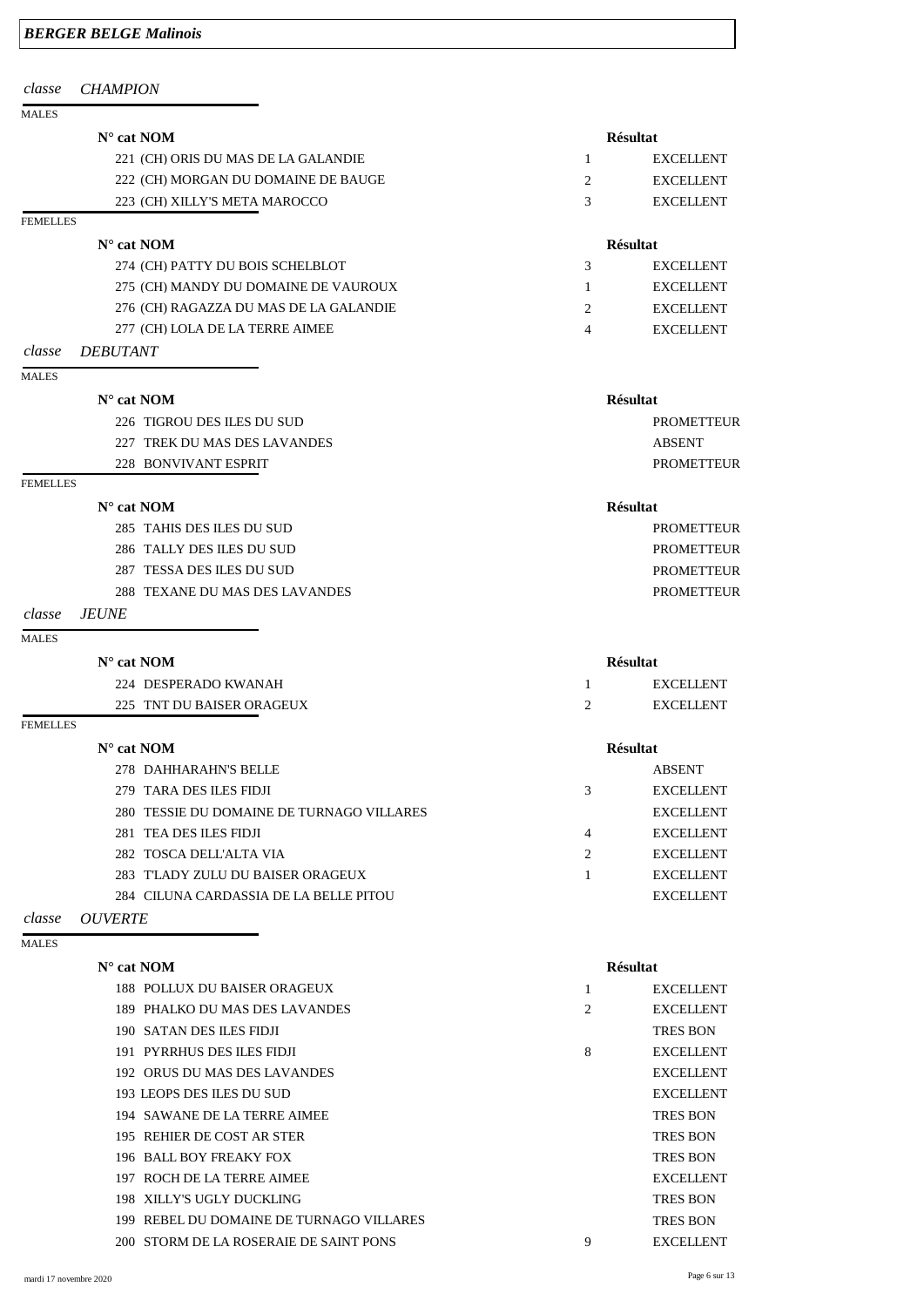| <b>BERGER BELGE Malinois</b> |  |  |  |
|------------------------------|--|--|--|
|------------------------------|--|--|--|

## **N° cat NOM Résultat** 221 (CH) ORIS DU MAS DE LA GALANDIE

222 (CH) MORGAN DU DOMAINE DE BAUGE

223 (CH) XILLY'S META MAROCCO

*classe CHAMPION*

## MALES

## FEMELLES

- 276 (CH) RAGAZZA DU MAS DE LA GALANDIE
- 277 (CH) LOLA DE LA TERRE AIMEE
- *classe DEBUTANT*

## **N° cat NOM Résultat**

274 (CH) PATTY DU BOIS SCHELBLOT

275 (CH) MANDY DU DOMAINE DE VAUROUX

## MALES

## **N° cat NOM Résultat**

226 TIGROU DES ILES DU SUD PROMETTEUR 227 TREK DU MAS DES LAVANDES ABSENT

228 BONVIVANT ESPRIT PROMETTEUR

## FEMELLES

## **N° cat NOM Résultat**

285 TAHIS DES ILES DU SUD PROMETTEUR 286 TALLY DES ILES DU SUD PROMETTEUR 287 TESSA DES ILES DU SUD PROMETTEUR 288 TEXANE DU MAS DES LAVANDES PROMETTEUR

## *classe JEUNE*

## MALES

## **N° cat NOM Résultat**

## 224 DESPERADO KWANAH 1 EXCELLENT 225 TNT DU BAISER ORAGEUX 2 EXCELLENT

## FEMELLES

## **N° cat NOM Résultat**

|               | 278 DAHHARAHN'S BELLE                     |   | <b>ABSENT</b>    |
|---------------|-------------------------------------------|---|------------------|
|               | 279 TARA DES ILES FIDJI                   | 3 | <b>EXCELLENT</b> |
|               | 280 TESSIE DU DOMAINE DE TURNAGO VILLARES |   | <b>EXCELLENT</b> |
|               | 281 TEA DES ILES FIDJI                    | 4 | <b>EXCELLENT</b> |
|               | 282 TOSCA DELL'ALTA VIA                   |   | <b>EXCELLENT</b> |
|               | 283 TLADY ZULU DU BAISER ORAGEUX          |   | <b>EXCELLENT</b> |
|               | 284 CILUNA CARDASSIA DE LA BELLE PITOU    |   | <b>EXCELLENT</b> |
| _ __ __ _ _ _ |                                           |   |                  |

## *classe OUVERTE*

MALES

## **N° cat NOM Résultat**

|               | <b>EXCELLENT</b> |
|---------------|------------------|
| $\mathcal{L}$ | <b>EXCELLENT</b> |
| $\mathcal{L}$ | <b>EXCELLENT</b> |

| 3                           | <b>EXCELLENT</b> |
|-----------------------------|------------------|
|                             | <b>EXCELLENT</b> |
| $\mathcal{D}_{\mathcal{L}}$ | <b>EXCELLENT</b> |
| 4                           | <b>EXCELLENT</b> |

|   | <b>ABSENT</b>    |
|---|------------------|
| 3 | <b>EXCELLENT</b> |
|   | <b>EXCELLENT</b> |
| Δ | <b>EXCELLENT</b> |
| 2 | <b>EXCELLENT</b> |
| 1 | <b>EXCELLENT</b> |
|   |                  |

| <b>188 POLLUX DU BAISER ORAGEUX</b>      |   | <b>EXCELLENT</b> |
|------------------------------------------|---|------------------|
| 189 PHALKO DU MAS DES LAVANDES           | 2 | <b>EXCELLENT</b> |
| 190 SATAN DES ILES FIDJI                 |   | <b>TRES BON</b>  |
| 191 PYRRHUS DES ILES FIDJI               | 8 | <b>EXCELLENT</b> |
| 192 ORUS DU MAS DES LAVANDES             |   | <b>EXCELLENT</b> |
| 193 LEOPS DES ILES DU SUD                |   | <b>EXCELLENT</b> |
| 194 SAWANE DE LA TERRE AIMEE             |   | <b>TRES BON</b>  |
| 195 REHIER DE COST AR STER               |   | <b>TRES BON</b>  |
| 196 BALL BOY FREAKY FOX                  |   | <b>TRES BON</b>  |
| 197 ROCH DE LA TERRE AIMEE               |   | <b>EXCELLENT</b> |
| 198 XILLY'S UGLY DUCKLING                |   | <b>TRES BON</b>  |
| 199 REBEL DU DOMAINE DE TURNAGO VILLARES |   | <b>TRES BON</b>  |
| 200 STORM DE LA ROSERAIE DE SAINT PONS   | 9 | <b>EXCELLENT</b> |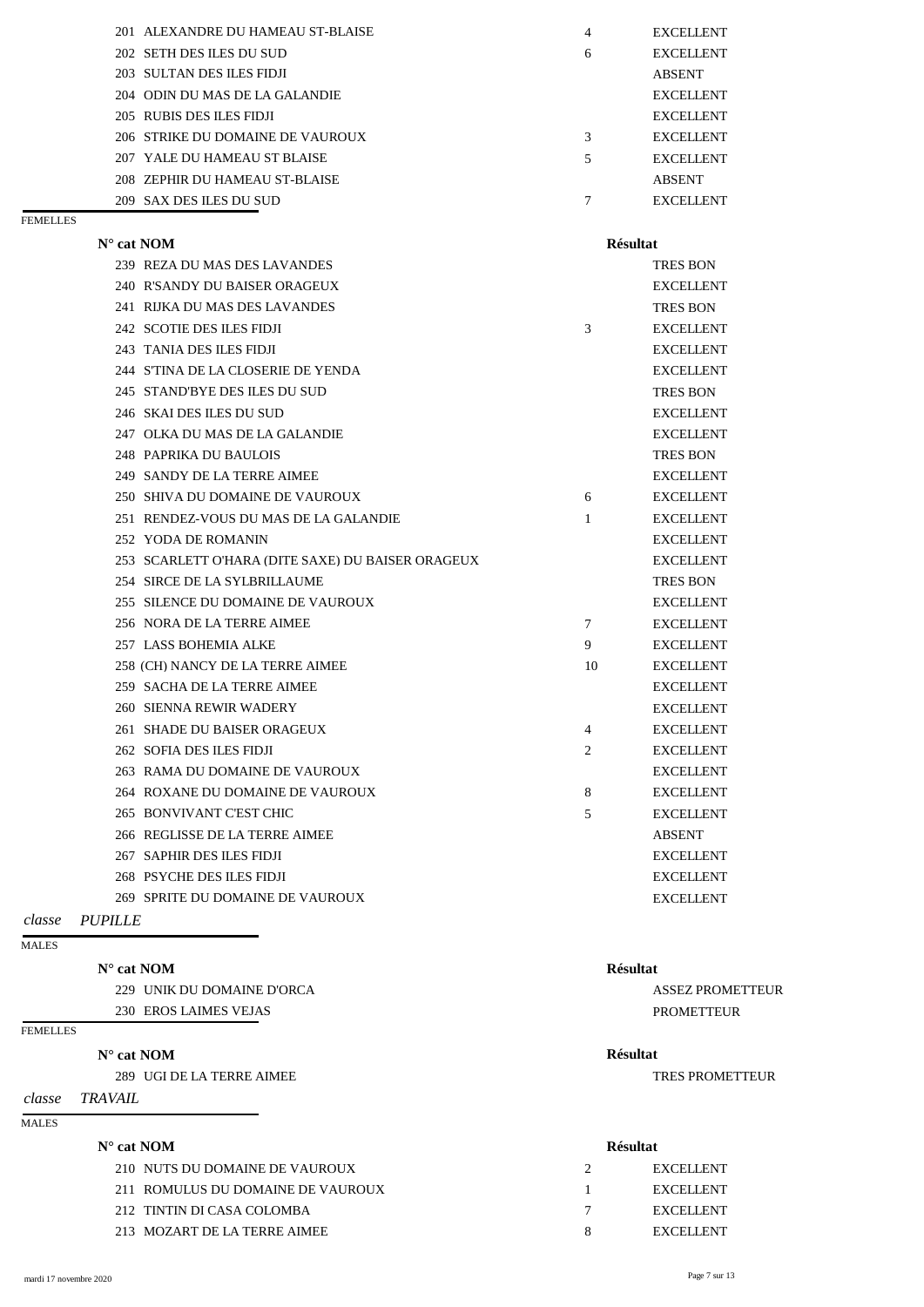| 201 ALEXANDRE DU HAMEAU ST-BLAISE | 4 | <b>EXCELLENT</b> |
|-----------------------------------|---|------------------|
| 202 SETH DES ILES DU SUD          | 6 | <b>EXCELLENT</b> |
| 203 SULTAN DES ILES FIDJI         |   | <b>ABSENT</b>    |
| 204 ODIN DU MAS DE LA GALANDIE    |   | <b>EXCELLENT</b> |
| 205 RUBIS DES ILES FIDJI          |   | <b>EXCELLENT</b> |
| 206 STRIKE DU DOMAINE DE VAUROUX  | 3 | <b>EXCELLENT</b> |
| 207 YALE DU HAMEAU ST BLAISE      | 5 | <b>EXCELLENT</b> |
| 208 ZEPHIR DU HAMEAU ST-BLAISE    |   | <b>ABSENT</b>    |
| 209 SAX DES ILES DU SUD           |   | <b>EXCELLENT</b> |

## **N° cat NOM Résultat** 210 NUTS DU DOMAINE DE VAUROUX 2 EXCELLENT 211 ROMULUS DU DOMAINE DE VAUROUX 1 EXCELLENT 212 TINTIN DI CASA COLOMBA 7 EXCELLENT 213 MOZART DE LA TERRE AIMEE 6 AN EXCELLENT 8 EXCELLENT

| $N^{\circ}$ cat NOM                               |              | <b>Résultat</b>  |
|---------------------------------------------------|--------------|------------------|
| 239 REZA DU MAS DES LAVANDES                      |              | <b>TRES BON</b>  |
| 240 R'SANDY DU BAISER ORAGEUX                     |              | <b>EXCELLENT</b> |
| 241 RIJKA DU MAS DES LAVANDES                     |              | <b>TRES BON</b>  |
| 242 SCOTIE DES ILES FIDJI                         | 3            | <b>EXCELLENT</b> |
| 243 TANIA DES ILES FIDJI                          |              | <b>EXCELLENT</b> |
| 244 S'TINA DE LA CLOSERIE DE YENDA                |              | <b>EXCELLENT</b> |
| 245 STAND'BYE DES ILES DU SUD                     |              | <b>TRES BON</b>  |
| 246 SKAI DES ILES DU SUD                          |              | <b>EXCELLENT</b> |
| 247 OLKA DU MAS DE LA GALANDIE                    |              | <b>EXCELLENT</b> |
| 248 PAPRIKA DU BAULOIS                            |              | <b>TRES BON</b>  |
| 249 SANDY DE LA TERRE AIMEE                       |              | <b>EXCELLENT</b> |
| 250 SHIVA DU DOMAINE DE VAUROUX                   | 6            | <b>EXCELLENT</b> |
| 251 RENDEZ-VOUS DU MAS DE LA GALANDIE             | $\mathbf{1}$ | <b>EXCELLENT</b> |
| 252 YODA DE ROMANIN                               |              | <b>EXCELLENT</b> |
| 253 SCARLETT O'HARA (DITE SAXE) DU BAISER ORAGEUX |              | <b>EXCELLENT</b> |
| 254 SIRCE DE LA SYLBRILLAUME                      |              | <b>TRES BON</b>  |
| 255 SILENCE DU DOMAINE DE VAUROUX                 |              | <b>EXCELLENT</b> |
| 256 NORA DE LA TERRE AIMEE                        | $\tau$       | <b>EXCELLENT</b> |
| 257 LASS BOHEMIA ALKE                             | 9            | <b>EXCELLENT</b> |
| 258 (CH) NANCY DE LA TERRE AIMEE                  | 10           | <b>EXCELLENT</b> |
| 259 SACHA DE LA TERRE AIMEE                       |              | <b>EXCELLENT</b> |
| 260 SIENNA REWIR WADERY                           |              | <b>EXCELLENT</b> |
| 261 SHADE DU BAISER ORAGEUX                       | 4            | <b>EXCELLENT</b> |
| 262 SOFIA DES ILES FIDJI                          | 2            | <b>EXCELLENT</b> |
| 263 RAMA DU DOMAINE DE VAUROUX                    |              | <b>EXCELLENT</b> |
| 264 ROXANE DU DOMAINE DE VAUROUX                  | 8            | <b>EXCELLENT</b> |
| 265 BONVIVANT C'EST CHIC                          | 5            | <b>EXCELLENT</b> |
| 266 REGLISSE DE LA TERRE AIMEE                    |              | <b>ABSENT</b>    |
| 267 SAPHIR DES ILES FIDJI                         |              | <b>EXCELLENT</b> |
| 268 PSYCHE DES ILES FIDJI                         |              | <b>EXCELLENT</b> |
| 269 SPRITE DU DOMAINE DE VAUROUX                  |              | <b>EXCELLENT</b> |

*classe PUPILLE*

MALES

## **N° cat NOM Résultat**

229 UNIK DU DOMAINE D'ORCA ASSEZ PROMETTEUR

230 EROS LAIMES VEJAS PROMETTEUR

FEMELLES

## **N° cat NOM Résultat**

289 UGI DE LA TERRE AIMEE TRES PROMETTEUR

*classe TRAVAIL*

MALES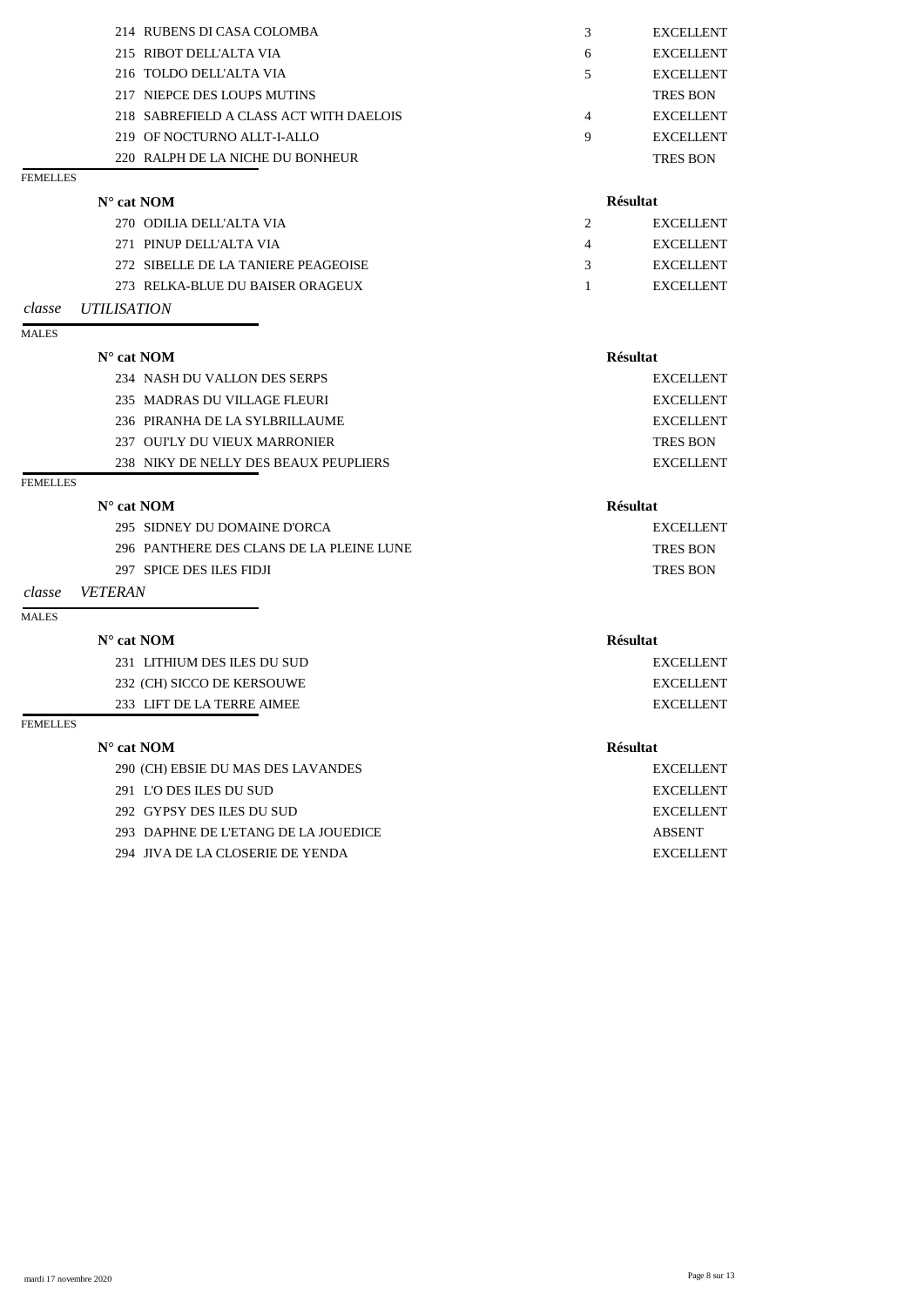| 270 ODILIA DELL'ALTA VIA                |                 | <b>EXCELLENT</b> |
|-----------------------------------------|-----------------|------------------|
| $N^{\circ}$ cat NOM                     | <b>Résultat</b> |                  |
| 220 RALPH DE LA NICHE DU BONHEUR        |                 | <b>TRES BON</b>  |
| 219 OF NOCTURNO ALLT-I-ALLO             | 9               | <b>EXCELLENT</b> |
| 218 SABREFIELD A CLASS ACT WITH DAELOIS | 4               | <b>EXCELLENT</b> |
| 217 NIEPCE DES LOUPS MUTINS             |                 | <b>TRES BON</b>  |
| 216 TOLDO DELL'ALTA VIA                 | 5               | <b>EXCELLENT</b> |
| 215 RIBOT DELL'ALTA VIA                 | 6               | <b>EXCELLENT</b> |
| 214 RUBENS DI CASA COLOMBA              | 3               | <b>EXCELLENT</b> |

## **N° cat NOM Résultat** 234 NASH DU VALLON DES SERPS EXCELLENT 235 MADRAS DU VILLAGE FLEURI EXCELLENT 236 PIRANHA DE LA SYLBRILLAUME EXCELLENT 237 OUI'LY DU VIEUX MARRONIER TRES BON 238 NIKY DE NELLY DES BEAUX PEUPLIERS EXCELLENT

## **FEMELLES**

FEMELLES

|                                     | ----------- |
|-------------------------------------|-------------|
| 271 PINUP DELL'ALTA VIA             | EXCELLENT   |
| 272 SIBELLE DE LA TANIERE PEAGEOISE | EXCELLENT   |
| 273 RELKA-BLUE DU BAISER ORAGEUX    | EXCELLENT   |

## *classe UTILISATION*

### MALES

| $\mathbf{N}^\circ$ cat $\mathbf{NOM}$    | <b>Résultat</b> |
|------------------------------------------|-----------------|
| 295 SIDNEY DU DOMAINE D'ORCA             | EXCELLENT       |
| 296 PANTHERE DES CLANS DE LA PLEINE LUNE | <b>TRES BON</b> |
| 297 SPICE DES ILES FIDJI                 | <b>TRES BON</b> |
|                                          |                 |

## *classe VETERAN*

## MALES

| $N^{\circ}$ cat NOM | <b>Résultat</b> |
|---------------------|-----------------|
|                     |                 |

| 231 LITHIUM DE |
|----------------|

232 (CH) SICCO DE KERSOUWE EXCELLENT

233 LIFT DE LA TERRE AIMEE EXCELLENT

## FEMELLES

## **N° cat NOM Résultat**

290 (CH) EBSIE DU MAS DES LAVANDES EXCELLENT

- 291 L'O DES ILES DU SUD EXCELLENT
- 292 GYPSY DES ILES DU SUD EXCELLENT

293 DAPHNE DE L'ETANG DE LA JOUEDICE ABSENT

294 JIVA DE LA CLOSERIE DE YENDA EXCELLENT

231 LES DU SUD EXCELLENT

mardi 17 novembre 2020 Page 8 sur 13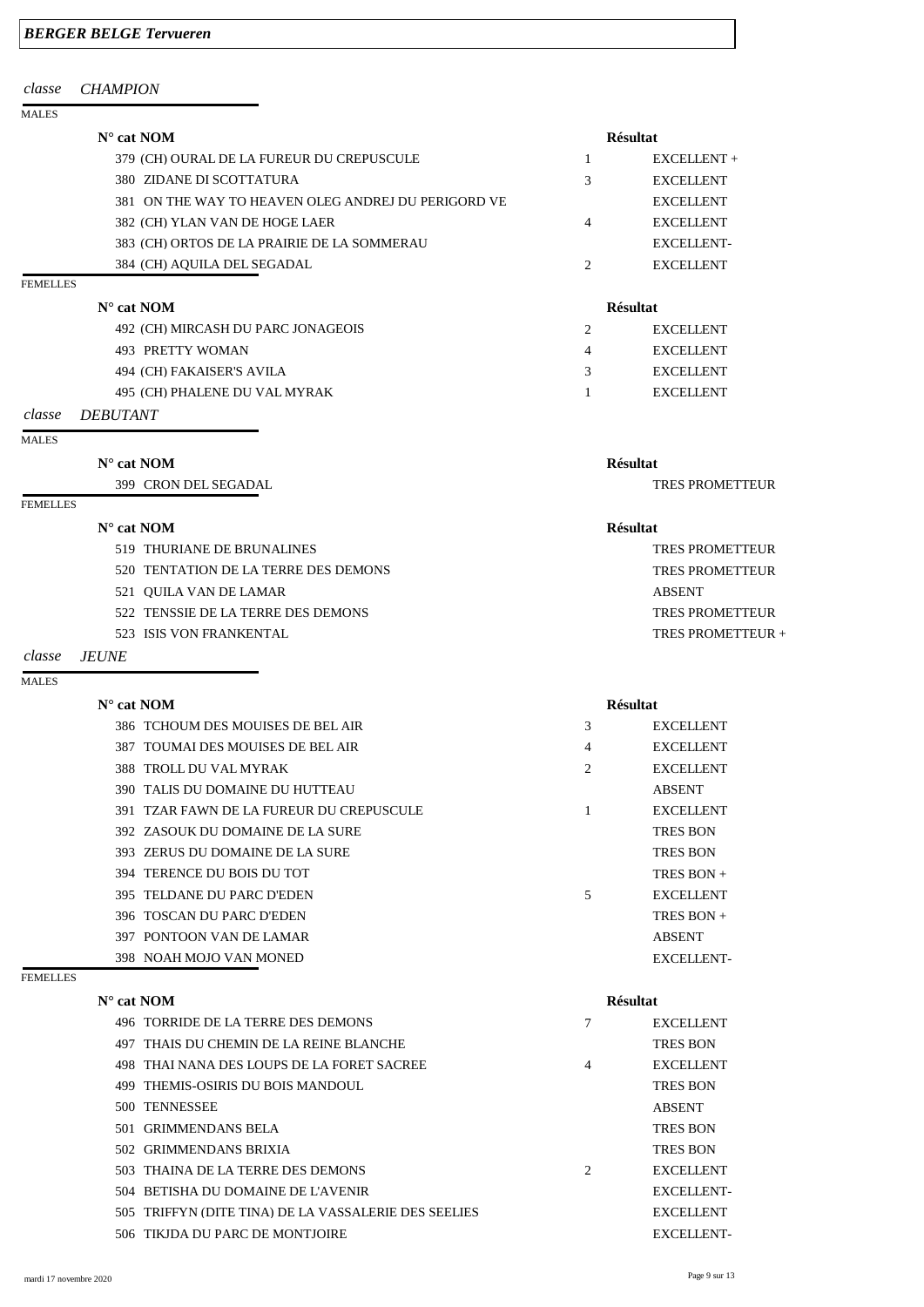## *BERGER BELGE Tervueren*

## *classe CHAMPION*

| $N^{\circ}$ cat NOM                                 |   | <b>Résultat</b>  |
|-----------------------------------------------------|---|------------------|
| 379 (CH) OURAL DE LA FUREUR DU CREPUSCULE           |   | $EXCELLENT +$    |
| 380 ZIDANE DI SCOTTATURA                            | 3 | <b>EXCELLENT</b> |
| 381 ON THE WAY TO HEAVEN OLEG ANDREJ DU PERIGORD VE |   | <b>EXCELLENT</b> |
| 382 (CH) YLAN VAN DE HOGE LAER                      | 4 | <b>EXCELLENT</b> |
| 383 (CH) ORTOS DE LA PRAIRIE DE LA SOMMERAU         |   | EXCELLENT-       |
| 384 (CH) AQUILA DEL SEGADAL                         |   | <b>EXCELLENT</b> |
|                                                     |   |                  |

## FEMELLES

| $N^{\circ}$ cat NOM                | <b>Résultat</b> |                  |
|------------------------------------|-----------------|------------------|
| 492 (CH) MIRCASH DU PARC JONAGEOIS |                 | <b>EXCELLENT</b> |
| 493 PRETTY WOMAN                   | 4               | <b>EXCELLENT</b> |
| 494 (CH) FAKAISER'S AVILA          | $\mathcal{R}$   | <b>EXCELLENT</b> |
| 495 (CH) PHALENE DU VAL MYRAK      |                 | <b>EXCELLENT</b> |

## *classe DEBUTANT*

### MALES

## **N° cat NOM Résultat**

399 CRON DEL SEGADAL TRES PROMETTEUR

## FEMELLES

| $N^{\circ}$ cat NOM |               |                                      | <b>Résultat</b>   |
|---------------------|---------------|--------------------------------------|-------------------|
|                     |               | 519 THURIANE DE BRUNALINES           | TRES PROMETTEUR   |
|                     |               | 520 TENTATION DE LA TERRE DES DEMONS | TRES PROMETTEUR   |
|                     |               | 521 QUILA VAN DE LAMAR               | ABSENT            |
|                     |               | 522 TENSSIE DE LA TERRE DES DEMONS   | TRES PROMETTEUR   |
|                     |               | 523 ISIS VON FRANKENTAL              | TRES PROMETTEUR + |
|                     | 1 F 1 7 1 7 F |                                      |                   |

## *classe JEUNE*

MALES

## **N° cat NOM Résultat**

|  | 386 TCHOUM DES MOUISES DE BEL AIR        | 3              | <b>EXCELLENT</b> |
|--|------------------------------------------|----------------|------------------|
|  | 387 TOUMAI DES MOUISES DE BEL AIR        | 4              | <b>EXCELLENT</b> |
|  | 388 TROLL DU VAL MYRAK                   | $\overline{2}$ | <b>EXCELLENT</b> |
|  | 390 TALIS DU DOMAINE DU HUTTEAU          |                | <b>ABSENT</b>    |
|  | 391 TZAR FAWN DE LA FUREUR DU CREPUSCULE | 1              | <b>EXCELLENT</b> |
|  | 392 ZASOUK DU DOMAINE DE LA SURE         |                | <b>TRES BON</b>  |
|  | 393 ZERUS DU DOMAINE DE LA SURE          |                | <b>TRES BON</b>  |
|  | 394 TERENCE DU BOIS DU TOT               |                | TRES BON $+$     |
|  | 395 TELDANE DU PARC D'EDEN               | 5              | <b>EXCELLENT</b> |
|  | 396 TOSCAN DU PARC D'EDEN                |                | TRES BON $+$     |
|  | 397 PONTOON VAN DE LAMAR                 |                | <b>ABSENT</b>    |
|  | 398 NOAH MOJO VAN MONED                  |                | EXCELLENT-       |
|  |                                          |                |                  |

| 496 TORRIDE DE LA TERRE DES DEMONS                   |                | <b>EXCELLENT</b>  |
|------------------------------------------------------|----------------|-------------------|
| 497 THAIS DU CHEMIN DE LA REINE BLANCHE              |                | <b>TRES BON</b>   |
| 498 THAI NANA DES LOUPS DE LA FORET SACREE           | 4              | <b>EXCELLENT</b>  |
| 499 THEMIS-OSIRIS DU BOIS MANDOUL                    |                | <b>TRES BON</b>   |
| 500 TENNESSEE                                        |                | <b>ABSENT</b>     |
| 501 GRIMMENDANS BELA                                 |                | <b>TRES BON</b>   |
| 502 GRIMMENDANS BRIXIA                               |                | <b>TRES BON</b>   |
| 503 THAINA DE LA TERRE DES DEMONS                    | $\overline{2}$ | <b>EXCELLENT</b>  |
| 504 BETISHA DU DOMAINE DE L'AVENIR                   |                | <b>EXCELLENT-</b> |
| 505 TRIFFYN (DITE TINA) DE LA VASSALERIE DES SEELIES |                | <b>EXCELLENT</b>  |
| 506 TIKJDA DU PARC DE MONTJOIRE                      |                | <b>EXCELLENT-</b> |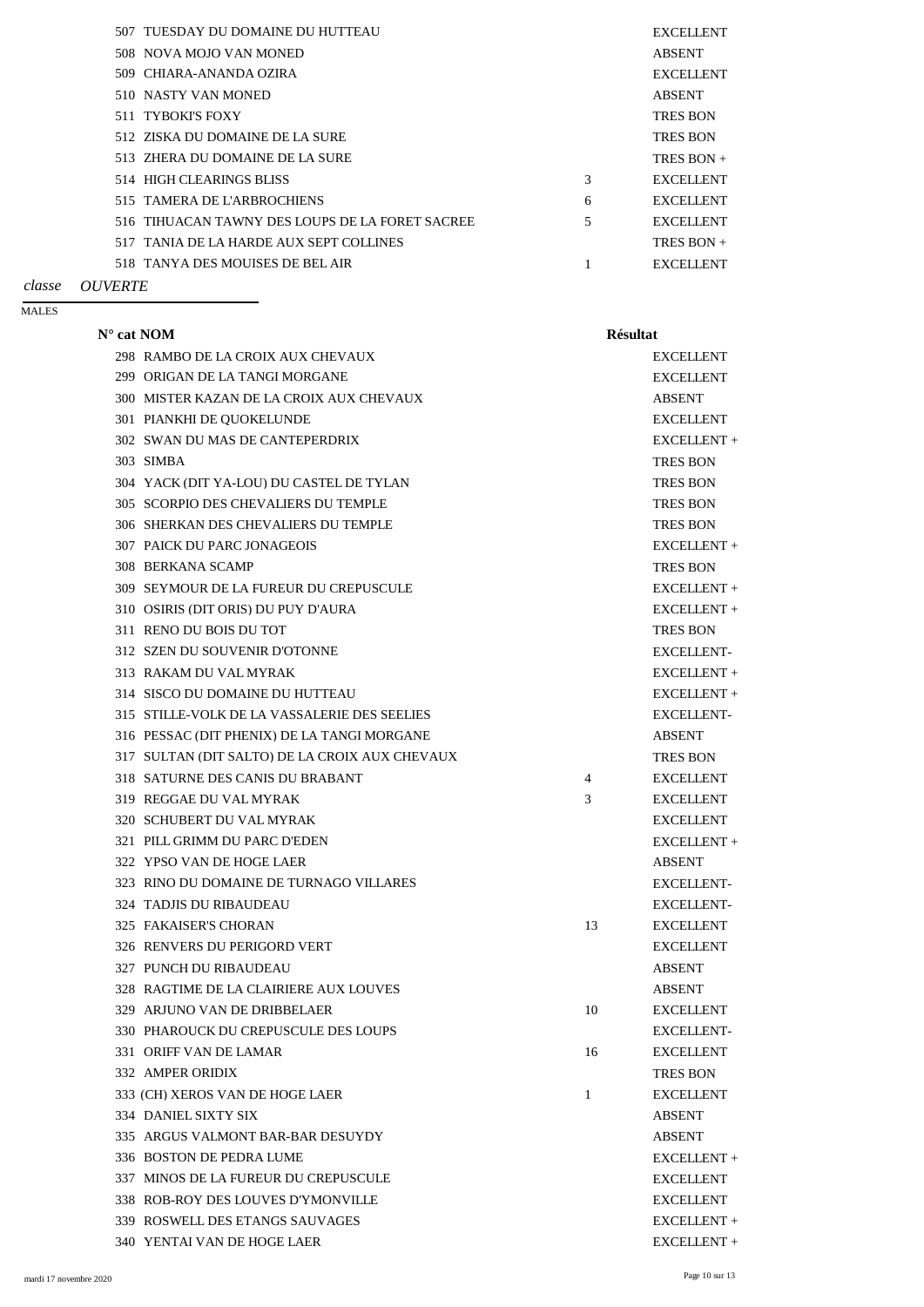|  | 507 TUESDAY DU DOMAINE DU HUTTEAU               |   | <b>EXCELLENT</b> |
|--|-------------------------------------------------|---|------------------|
|  | 508 NOVA MOJO VAN MONED                         |   | <b>ABSENT</b>    |
|  | 509 CHIARA-ANANDA OZIRA                         |   | <b>EXCELLENT</b> |
|  | 510 NASTY VAN MONED                             |   | <b>ABSENT</b>    |
|  | 511 TYBOKI'S FOXY                               |   | <b>TRES BON</b>  |
|  | 512 ZISKA DU DOMAINE DE LA SURE                 |   | <b>TRES BON</b>  |
|  | 513 ZHERA DU DOMAINE DE LA SURE                 |   | TRES BON $+$     |
|  | 514 HIGH CLEARINGS BLISS                        | 3 | <b>EXCELLENT</b> |
|  | 515 TAMERA DE L'ARBROCHIENS                     | 6 | <b>EXCELLENT</b> |
|  | 516 TIHUACAN TAWNY DES LOUPS DE LA FORET SACREE | 5 | <b>EXCELLENT</b> |
|  | 517 TANIA DE LA HARDE AUX SEPT COLLINES         |   | TRES BON $+$     |
|  | 518 TANYA DES MOUISES DE BEL AIR                |   | <b>EXCELLENT</b> |
|  |                                                 |   |                  |

## *classe OUVERTE*

### MALES

| $N^{\circ}$ cat NOM |                                                    | <b>Résultat</b> |                   |
|---------------------|----------------------------------------------------|-----------------|-------------------|
|                     | 298 RAMBO DE LA CROIX AUX CHEVAUX                  |                 | <b>EXCELLENT</b>  |
|                     | 299 ORIGAN DE LA TANGI MORGANE                     |                 | <b>EXCELLENT</b>  |
|                     | 300 MISTER KAZAN DE LA CROIX AUX CHEVAUX           |                 | <b>ABSENT</b>     |
|                     | 301 PIANKHI DE QUOKELUNDE                          |                 | <b>EXCELLENT</b>  |
|                     | 302 SWAN DU MAS DE CANTEPERDRIX                    |                 | EXCELLENT +       |
|                     | 303 SIMBA                                          |                 | <b>TRES BON</b>   |
|                     | 304 YACK (DIT YA-LOU) DU CASTEL DE TYLAN           |                 | <b>TRES BON</b>   |
|                     | 305 SCORPIO DES CHEVALIERS DU TEMPLE               |                 | <b>TRES BON</b>   |
|                     | 306 SHERKAN DES CHEVALIERS DU TEMPLE               |                 | <b>TRES BON</b>   |
|                     | <b>307 PAICK DU PARC JONAGEOIS</b>                 |                 | EXCELLENT +       |
|                     | 308 BERKANA SCAMP                                  |                 | <b>TRES BON</b>   |
| 309                 | SEYMOUR DE LA FUREUR DU CREPUSCULE                 |                 | EXCELLENT +       |
|                     | 310 OSIRIS (DIT ORIS) DU PUY D'AURA                |                 | EXCELLENT +       |
|                     | 311 RENO DU BOIS DU TOT                            |                 | <b>TRES BON</b>   |
|                     | 312 SZEN DU SOUVENIR D'OTONNE                      |                 | <b>EXCELLENT-</b> |
|                     | 313 RAKAM DU VAL MYRAK                             |                 | EXCELLENT +       |
|                     | 314 SISCO DU DOMAINE DU HUTTEAU                    |                 | EXCELLENT +       |
|                     | 315 STILLE-VOLK DE LA VASSALERIE DES SEELIES       |                 | <b>EXCELLENT-</b> |
|                     | 316 PESSAC (DIT PHENIX) DE LA TANGI MORGANE        |                 | <b>ABSENT</b>     |
|                     | 317 SULTAN (DIT SALTO) DE LA CROIX AUX CHEVAUX     |                 | <b>TRES BON</b>   |
|                     | 318 SATURNE DES CANIS DU BRABANT<br>$\overline{4}$ |                 | <b>EXCELLENT</b>  |
|                     | 319 REGGAE DU VAL MYRAK<br>3                       |                 | <b>EXCELLENT</b>  |
|                     | 320 SCHUBERT DU VAL MYRAK                          |                 | <b>EXCELLENT</b>  |
|                     | 321 PILL GRIMM DU PARC D'EDEN                      |                 | EXCELLENT +       |
|                     | 322 YPSO VAN DE HOGE LAER                          |                 | <b>ABSENT</b>     |
|                     | 323 RINO DU DOMAINE DE TURNAGO VILLARES            |                 | <b>EXCELLENT-</b> |
|                     | <b>324 TADJIS DU RIBAUDEAU</b>                     |                 | <b>EXCELLENT-</b> |
|                     | <b>325 FAKAISER'S CHORAN</b><br>13                 |                 | <b>EXCELLENT</b>  |
|                     | 326 RENVERS DU PERIGORD VERT                       |                 | <b>EXCELLENT</b>  |
|                     | 327 PUNCH DU RIBAUDEAU                             |                 | <b>ABSENT</b>     |
|                     |                                                    |                 |                   |

| 328 RAGTIME DE LA CLAIRIERE AUX LOUVES |    | <b>ABSENT</b>     |
|----------------------------------------|----|-------------------|
| 329 ARJUNO VAN DE DRIBBELAER           | 10 | <b>EXCELLENT</b>  |
| 330 PHAROUCK DU CREPUSCULE DES LOUPS   |    | <b>EXCELLENT-</b> |
| 331 ORIFF VAN DE LAMAR                 | 16 | <b>EXCELLENT</b>  |
| 332 AMPER ORIDIX                       |    | <b>TRES BON</b>   |
| 333 (CH) XEROS VAN DE HOGE LAER        |    | <b>EXCELLENT</b>  |
| 334 DANIEL SIXTY SIX                   |    | <b>ABSENT</b>     |
| 335 ARGUS VALMONT BAR-BAR DESUYDY      |    | <b>ABSENT</b>     |
| 336 BOSTON DE PEDRA LUME               |    | $EXCELLENT +$     |
| 337 MINOS DE LA FUREUR DU CREPUSCULE   |    | <b>EXCELLENT</b>  |
| 338 ROB-ROY DES LOUVES D'YMONVILLE     |    | <b>EXCELLENT</b>  |
| 339 ROSWELL DES ETANGS SAUVAGES        |    | EXCELLENT+        |
| 340 YENTAI VAN DE HOGE LAER            |    | EXCELLENT+        |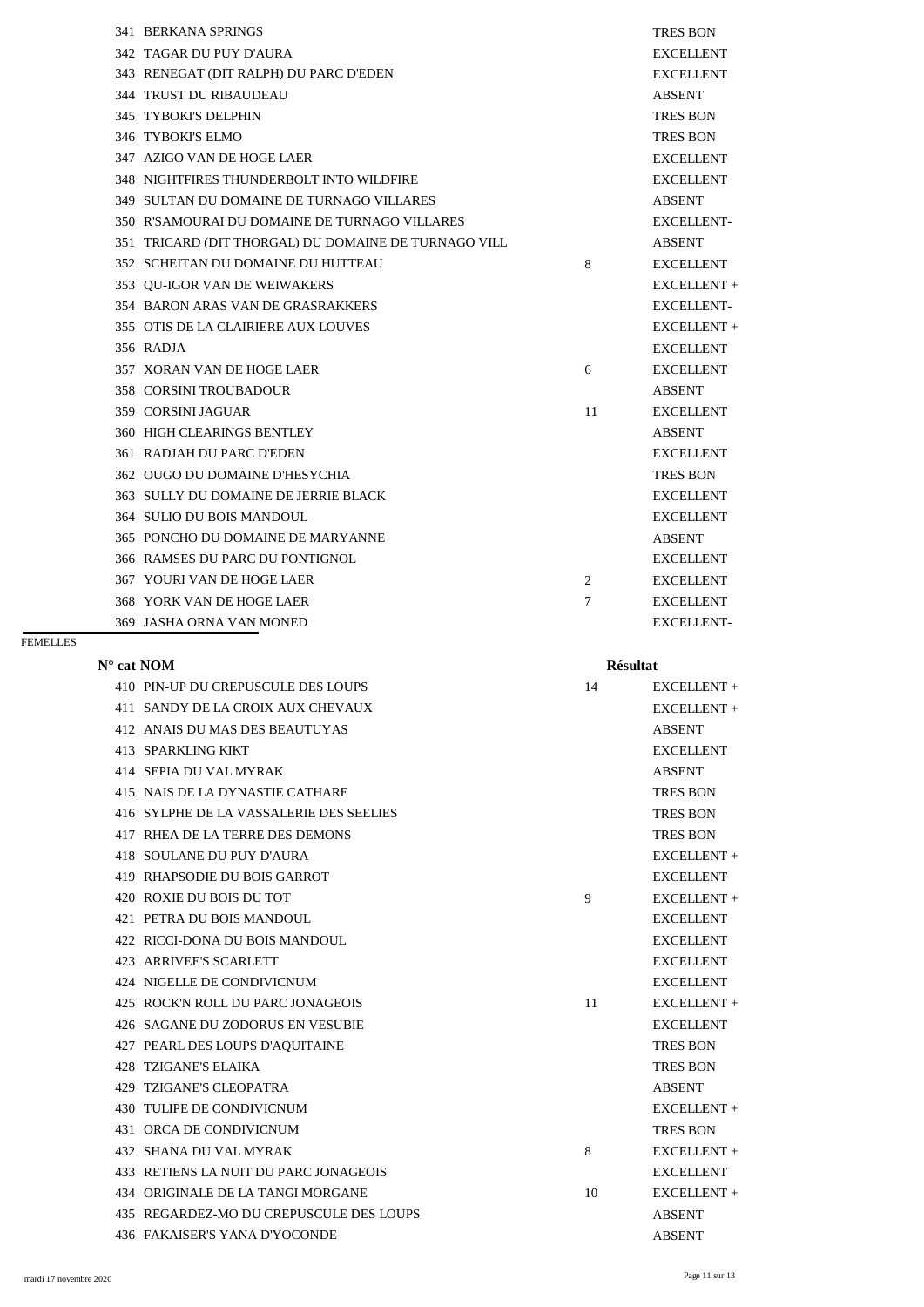| 341 BERKANA SPRINGS                                  |    | <b>TRES BON</b>   |
|------------------------------------------------------|----|-------------------|
| 342 TAGAR DU PUY D'AURA                              |    | <b>EXCELLENT</b>  |
| 343 RENEGAT (DIT RALPH) DU PARC D'EDEN               |    | <b>EXCELLENT</b>  |
| <b>344 TRUST DU RIBAUDEAU</b>                        |    | <b>ABSENT</b>     |
| 345 TYBOKI'S DELPHIN                                 |    | <b>TRES BON</b>   |
| 346 TYBOKI'S ELMO                                    |    | <b>TRES BON</b>   |
| 347 AZIGO VAN DE HOGE LAER                           |    | <b>EXCELLENT</b>  |
| 348 NIGHTFIRES THUNDERBOLT INTO WILDFIRE             |    | <b>EXCELLENT</b>  |
| 349 SULTAN DU DOMAINE DE TURNAGO VILLARES            |    | <b>ABSENT</b>     |
| 350 R'SAMOURAI DU DOMAINE DE TURNAGO VILLARES        |    | <b>EXCELLENT-</b> |
| 351 TRICARD (DIT THORGAL) DU DOMAINE DE TURNAGO VILL |    | <b>ABSENT</b>     |
| 352 SCHEITAN DU DOMAINE DU HUTTEAU                   | 8  | <b>EXCELLENT</b>  |
| 353 OU-IGOR VAN DE WEIWAKERS                         |    | EXCELLENT +       |
| 354 BARON ARAS VAN DE GRASRAKKERS                    |    | <b>EXCELLENT-</b> |
| 355 OTIS DE LA CLAIRIERE AUX LOUVES                  |    | EXCELLENT +       |
| 356 RADJA                                            |    | <b>EXCELLENT</b>  |
| 357 XORAN VAN DE HOGE LAER                           | 6  | <b>EXCELLENT</b>  |
| <b>358 CORSINI TROUBADOUR</b>                        |    | <b>ABSENT</b>     |
| 359 CORSINI JAGUAR                                   | 11 | <b>EXCELLENT</b>  |
| <b>360 HIGH CLEARINGS BENTLEY</b>                    |    | <b>ABSENT</b>     |
| <b>361 RADJAH DU PARC D'EDEN</b>                     |    | <b>EXCELLENT</b>  |
| 362 OUGO DU DOMAINE D'HESYCHIA                       |    | <b>TRES BON</b>   |
| 363 SULLY DU DOMAINE DE JERRIE BLACK                 |    | <b>EXCELLENT</b>  |
| 364 SULIO DU BOIS MANDOUL                            |    | <b>EXCELLENT</b>  |
| 365 PONCHO DU DOMAINE DE MARYANNE                    |    | <b>ABSENT</b>     |
| 366 RAMSES DU PARC DU PONTIGNOL                      |    | <b>EXCELLENT</b>  |
| <b>367 YOURI VAN DE HOGE LAER</b>                    | 2  | <b>EXCELLENT</b>  |
| 368 YORK VAN DE HOGE LAER                            | 7  | <b>EXCELLENT</b>  |
| 369 JASHA ORNA VAN MONED                             |    | <b>EXCELLENT-</b> |
|                                                      |    |                   |

| 410 PIN-UP DU CREPUSCULE DES LOUPS      | 14 | $EXCELLENT +$    |
|-----------------------------------------|----|------------------|
| 411 SANDY DE LA CROIX AUX CHEVAUX       |    | EXCELLENT +      |
| 412 ANAIS DU MAS DES BEAUTUYAS          |    | <b>ABSENT</b>    |
| 413 SPARKLING KIKT                      |    | <b>EXCELLENT</b> |
| 414 SEPIA DU VAL MYRAK                  |    | <b>ABSENT</b>    |
| 415 NAIS DE LA DYNASTIE CATHARE         |    | <b>TRES BON</b>  |
| 416 SYLPHE DE LA VASSALERIE DES SEELIES |    | <b>TRES BON</b>  |
| 417 RHEA DE LA TERRE DES DEMONS         |    | <b>TRES BON</b>  |
| 418 SOULANE DU PUY D'AURA               |    | EXCELLENT +      |
| 419 RHAPSODIE DU BOIS GARROT            |    | <b>EXCELLENT</b> |
| 420 ROXIE DU BOIS DU TOT                | 9  | EXCELLENT +      |
| 421 PETRA DU BOIS MANDOUL               |    | <b>EXCELLENT</b> |
| 422 RICCI-DONA DU BOIS MANDOUL          |    | <b>EXCELLENT</b> |
| 423 ARRIVEE'S SCARLETT                  |    | <b>EXCELLENT</b> |
| 424 NIGELLE DE CONDIVICNUM              |    | <b>EXCELLENT</b> |

| 425 ROCK'N ROLL DU PARC JONAGEOIS       | 11 | EXCELLENT+       |
|-----------------------------------------|----|------------------|
| 426 SAGANE DU ZODORUS EN VESUBIE        |    | <b>EXCELLENT</b> |
| 427 PEARL DES LOUPS D'AOUITAINE         |    | <b>TRES BON</b>  |
| 428 TZIGANE'S ELAIKA                    |    | <b>TRES BON</b>  |
| 429 TZIGANE'S CLEOPATRA                 |    | <b>ABSENT</b>    |
| 430 TULIPE DE CONDIVICNUM               |    | EXCELLENT +      |
| 431 ORCA DE CONDIVICNUM                 |    | <b>TRES BON</b>  |
| <b>432 SHANA DU VAL MYRAK</b>           | 8  | EXCELLENT+       |
| 433 RETIENS LA NUIT DU PARC JONAGEOIS   |    | <b>EXCELLENT</b> |
| 434 ORIGINALE DE LA TANGI MORGANE       | 10 | EXCELLENT+       |
| 435 REGARDEZ-MO DU CREPUSCULE DES LOUPS |    | <b>ABSENT</b>    |
| 436 FAKAISER'S YANA D'YOCONDE           |    | <b>ABSENT</b>    |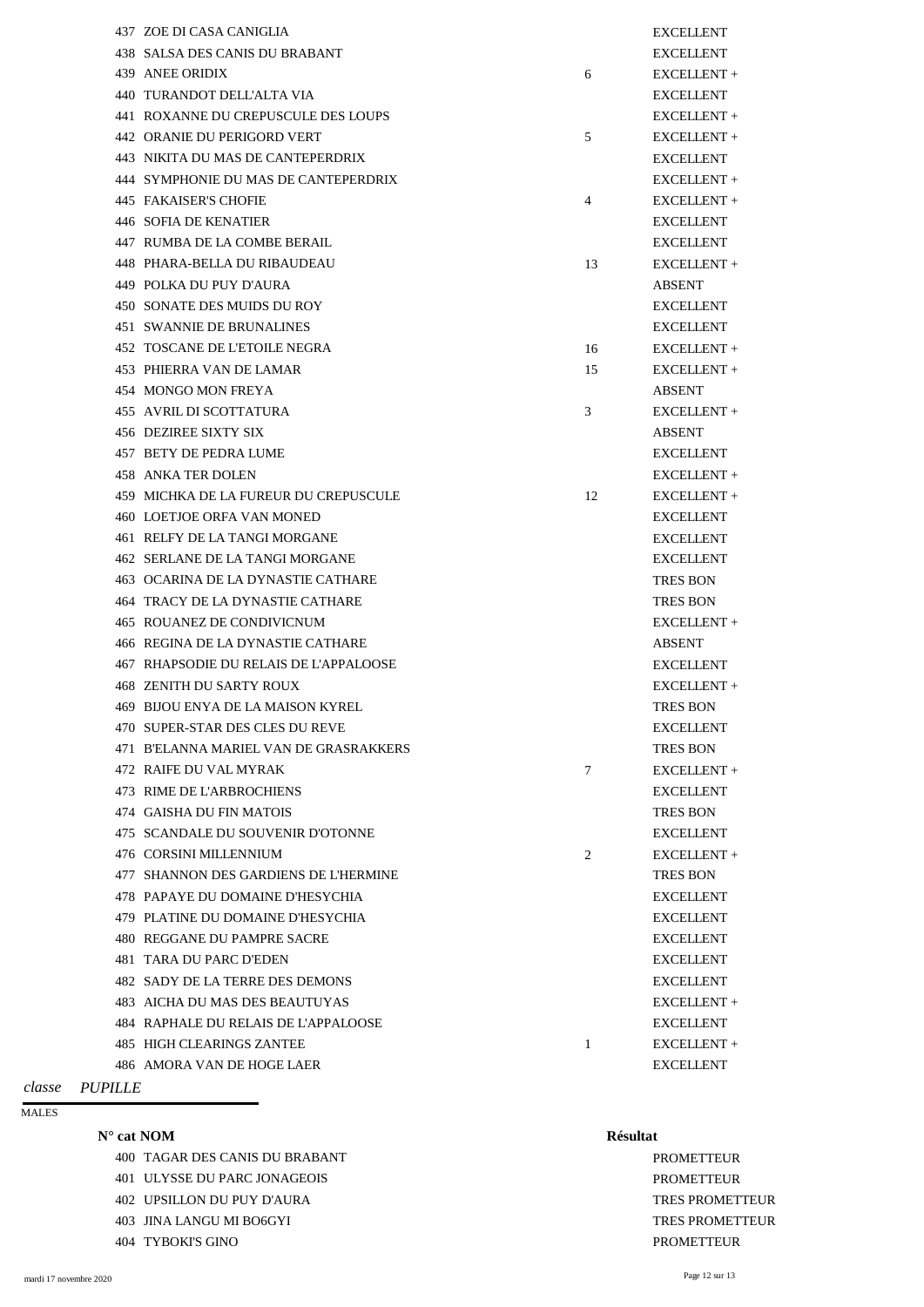|      | 437 ZOE DI CASA CANIGLIA                |                 | <b>EXCELLENT</b> |
|------|-----------------------------------------|-----------------|------------------|
|      | 438 SALSA DES CANIS DU BRABANT          |                 | <b>EXCELLENT</b> |
| 439  | <b>ANEE ORIDIX</b>                      | 6               | EXCELLENT +      |
| 440  | TURANDOT DELL'ALTA VIA                  |                 | <b>EXCELLENT</b> |
|      | 441 ROXANNE DU CREPUSCULE DES LOUPS     |                 | EXCELLENT +      |
|      | <b>442 ORANIE DU PERIGORD VERT</b>      | 5               | EXCELLENT +      |
|      | 443 NIKITA DU MAS DE CANTEPERDRIX       |                 | <b>EXCELLENT</b> |
| 444  | SYMPHONIE DU MAS DE CANTEPERDRIX        |                 | EXCELLENT +      |
|      | <b>445 FAKAISER'S CHOFIE</b>            | $\overline{4}$  | EXCELLENT +      |
|      | <b>446 SOFIA DE KENATIER</b>            |                 | <b>EXCELLENT</b> |
|      | 447 RUMBA DE LA COMBE BERAIL            |                 | <b>EXCELLENT</b> |
|      | 448 PHARA-BELLA DU RIBAUDEAU            | 13              | EXCELLENT +      |
| 449  | POLKA DU PUY D'AURA                     |                 | <b>ABSENT</b>    |
|      | 450 SONATE DES MUIDS DU ROY             |                 | <b>EXCELLENT</b> |
|      | <b>451 SWANNIE DE BRUNALINES</b>        |                 | <b>EXCELLENT</b> |
|      | 452 TOSCANE DE L'ETOILE NEGRA           | 16              | EXCELLENT +      |
|      | 453 PHIERRA VAN DE LAMAR                | 15              | EXCELLENT +      |
| 454  | <b>MONGO MON FREYA</b>                  |                 | <b>ABSENT</b>    |
|      | <b>455 AVRIL DI SCOTTATURA</b>          | 3               | EXCELLENT +      |
|      | 456 DEZIREE SIXTY SIX                   |                 | <b>ABSENT</b>    |
| 457  | <b>BETY DE PEDRA LUME</b>               |                 | <b>EXCELLENT</b> |
|      | <b>458 ANKA TER DOLEN</b>               |                 | EXCELLENT +      |
|      | 459 MICHKA DE LA FUREUR DU CREPUSCULE   | 12              | EXCELLENT +      |
|      | 460 LOETJOE ORFA VAN MONED              |                 | <b>EXCELLENT</b> |
|      | 461 RELFY DE LA TANGI MORGANE           |                 | <b>EXCELLENT</b> |
|      | <b>462 SERLANE DE LA TANGI MORGANE</b>  |                 | <b>EXCELLENT</b> |
|      | 463 OCARINA DE LA DYNASTIE CATHARE      |                 | <b>TRES BON</b>  |
|      | <b>464 TRACY DE LA DYNASTIE CATHARE</b> |                 | <b>TRES BON</b>  |
|      | 465 ROUANEZ DE CONDIVICNUM              |                 | EXCELLENT +      |
|      | 466 REGINA DE LA DYNASTIE CATHARE       |                 | <b>ABSENT</b>    |
|      | 467 RHAPSODIE DU RELAIS DE L'APPALOOSE  |                 | <b>EXCELLENT</b> |
|      | <b>468 ZENITH DU SARTY ROUX</b>         |                 | EXCELLENT +      |
| 469. | BIJOU ENYA DE LA MAISON KYREL           |                 | <b>TRES BON</b>  |
|      | 470 SUPER-STAR DES CLES DU REVE         |                 | <b>EXCELLENT</b> |
|      | 471 B'ELANNA MARIEL VAN DE GRASRAKKERS  |                 | <b>TRES BON</b>  |
|      | 472 RAIFE DU VAL MYRAK                  | $7\phantom{.0}$ | EXCELLENT +      |
|      | 473 RIME DE L'ARBROCHIENS               |                 | <b>EXCELLENT</b> |
|      | 474 GAISHA DU FIN MATOIS                |                 | <b>TRES BON</b>  |
|      | 475 SCANDALE DU SOUVENIR D'OTONNE       |                 | <b>EXCELLENT</b> |
|      | 476 CORSINI MILLENNIUM                  | $\overline{2}$  | EXCELLENT +      |
|      | 477 SHANNON DES GARDIENS DE L'HERMINE   |                 | <b>TRES BON</b>  |
|      | 478 PAPAYE DU DOMAINE D'HESYCHIA        |                 | <b>EXCELLENT</b> |
|      | 479 PLATINE DU DOMAINE D'HESYCHIA       |                 | <b>EXCELLENT</b> |
|      | 480 REGGANE DU PAMPRE SACRE             |                 | <b>EXCELLENT</b> |
|      | 481 TARA DU PARC D'EDEN                 |                 | <b>EXCELLENT</b> |
|      | 482 SADY DE LA TERRE DES DEMONS         |                 | <b>EXCELLENT</b> |

400 TAGAR DES CANIS DU BRABANT PROMETTEUR 401 ULYSSE DU PARC JONAGEOIS PROMETTEUR 402 UPSILLON DU PUY D'AURA TRES PROMETTEUR 403 JINA LANGU MI BO6GYI TRES PROMETTEUR 404 TYBOKI'S GINO PROMETTEUR

 $EXCELLENT +$ A RAPHALE DU RELACELLENT 1 EXCELLENT + **EXCELLENT** 

| <b>BEITHO</b> |                |                                     |
|---------------|----------------|-------------------------------------|
|               | classe PUPILLE |                                     |
|               |                | 486 AMORA VAN DE HOGE LAER          |
|               |                | 485 HIGH CLEARINGS ZANTEE           |
|               |                | 484 RAPHALE DU RELAIS DE L'APPALOOS |
|               |                | 483 AICHA DU MAS DES BEAUTUYAS      |

MALES